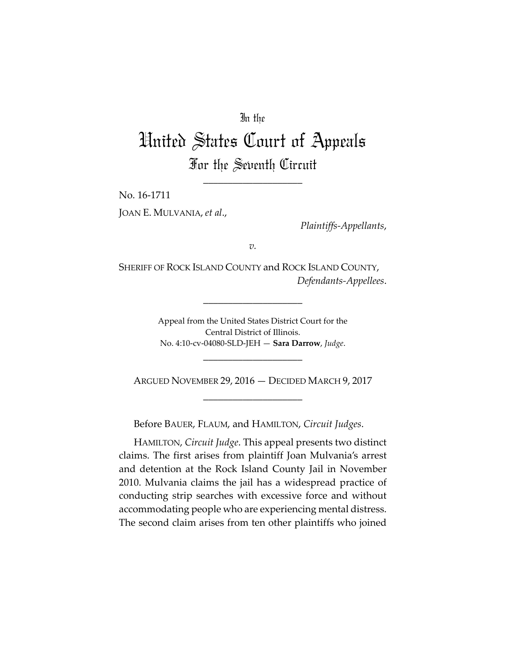# In the

# United States Court of Appeals For the Seventh Circuit

\_\_\_\_\_\_\_\_\_\_\_\_\_\_\_\_\_\_\_\_

No. 16‐1711 JOAN E. MULVANIA, *et al*.,

*Plaintiffs‐Appellants*,

*v.*

SHERIFF OF ROCK ISLAND COUNTY and ROCK ISLAND COUNTY, *Defendants‐Appellees*.

\_\_\_\_\_\_\_\_\_\_\_\_\_\_\_\_\_\_\_\_

Appeal from the United States District Court for the Central District of Illinois. No. 4:10‐cv‐04080‐SLD‐JEH — **Sara Darrow**, *Judge*.

ARGUED NOVEMBER 29, 2016 — DECIDED MARCH 9, 2017 \_\_\_\_\_\_\_\_\_\_\_\_\_\_\_\_\_\_\_\_

\_\_\_\_\_\_\_\_\_\_\_\_\_\_\_\_\_\_\_\_

Before BAUER, FLAUM, and HAMILTON, *Circuit Judges*.

HAMILTON, *Circuit Judge*. This appeal presents two distinct claims. The first arises from plaintiff Joan Mulvania's arrest and detention at the Rock Island County Jail in November 2010. Mulvania claims the jail has a widespread practice of conducting strip searches with excessive force and without accommodating people who are experiencing mental distress. The second claim arises from ten other plaintiffs who joined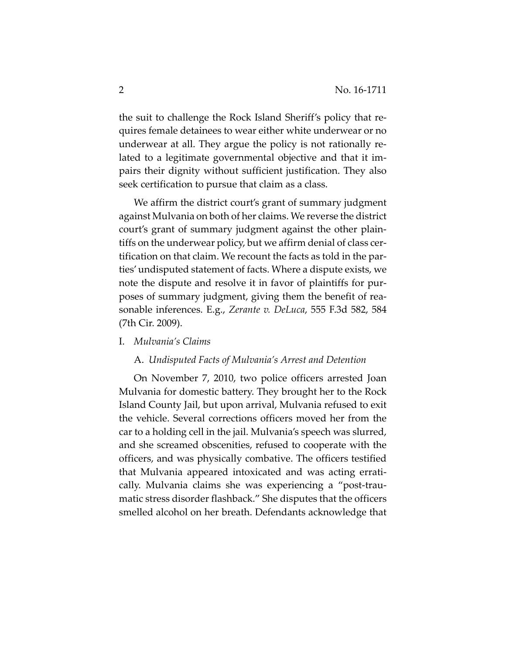the suit to challenge the Rock Island Sheriff's policy that re‐ quires female detainees to wear either white underwear or no underwear at all. They argue the policy is not rationally re‐ lated to a legitimate governmental objective and that it im‐ pairs their dignity without sufficient justification. They also seek certification to pursue that claim as a class.

We affirm the district court's grant of summary judgment against Mulvania on both of her claims. We reverse the district court's grant of summary judgment against the other plain‐ tiffs on the underwear policy, but we affirm denial of class cer‐ tification on that claim. We recount the facts as told in the par‐ ties'undisputed statement of facts. Where a dispute exists, we note the dispute and resolve it in favor of plaintiffs for purposes of summary judgment, giving them the benefit of rea‐ sonable inferences. E.g., *Zerante v. DeLuca*, 555 F.3d 582, 584 (7th Cir. 2009).

I. *Mulvania's Claims*

#### A. *Undisputed Facts of Mulvania's Arrest and Detention*

On November 7, 2010, two police officers arrested Joan Mulvania for domestic battery. They brought her to the Rock Island County Jail, but upon arrival, Mulvania refused to exit the vehicle. Several corrections officers moved her from the car to a holding cell in the jail. Mulvania's speech was slurred, and she screamed obscenities, refused to cooperate with the officers, and was physically combative. The officers testified that Mulvania appeared intoxicated and was acting errati‐ cally. Mulvania claims she was experiencing a "post‐trau‐ matic stress disorder flashback." She disputes that the officers smelled alcohol on her breath. Defendants acknowledge that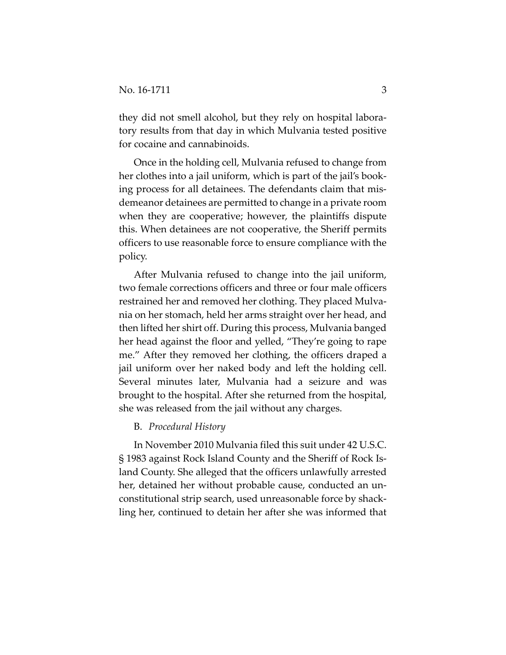they did not smell alcohol, but they rely on hospital labora‐ tory results from that day in which Mulvania tested positive for cocaine and cannabinoids.

Once in the holding cell, Mulvania refused to change from her clothes into a jail uniform, which is part of the jail's book‐ ing process for all detainees. The defendants claim that mis‐ demeanor detainees are permitted to change in a private room when they are cooperative; however, the plaintiffs dispute this. When detainees are not cooperative, the Sheriff permits officers to use reasonable force to ensure compliance with the policy.

After Mulvania refused to change into the jail uniform, two female corrections officers and three or four male officers restrained her and removed her clothing. They placed Mulva‐ nia on her stomach, held her arms straight over her head, and then lifted her shirt off. During this process, Mulvania banged her head against the floor and yelled, "They're going to rape me." After they removed her clothing, the officers draped a jail uniform over her naked body and left the holding cell. Several minutes later, Mulvania had a seizure and was brought to the hospital. After she returned from the hospital, she was released from the jail without any charges.

# B. *Procedural History*

In November 2010 Mulvania filed this suit under 42 U.S.C. § 1983 against Rock Island County and the Sheriff of Rock Is‐ land County. She alleged that the officers unlawfully arrested her, detained her without probable cause, conducted an un‐ constitutional strip search, used unreasonable force by shack‐ ling her, continued to detain her after she was informed that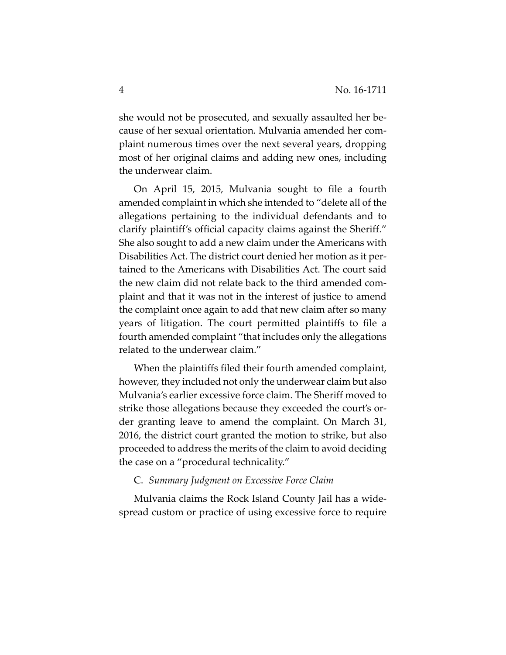she would not be prosecuted, and sexually assaulted her because of her sexual orientation. Mulvania amended her com‐ plaint numerous times over the next several years, dropping most of her original claims and adding new ones, including the underwear claim.

On April 15, 2015, Mulvania sought to file a fourth amended complaint in which she intended to "delete all of the allegations pertaining to the individual defendants and to clarify plaintiff's official capacity claims against the Sheriff." She also sought to add a new claim under the Americans with Disabilities Act. The district court denied her motion as it per‐ tained to the Americans with Disabilities Act. The court said the new claim did not relate back to the third amended com‐ plaint and that it was not in the interest of justice to amend the complaint once again to add that new claim after so many years of litigation. The court permitted plaintiffs to file a fourth amended complaint "that includes only the allegations related to the underwear claim."

When the plaintiffs filed their fourth amended complaint, however, they included not only the underwear claim but also Mulvania's earlier excessive force claim. The Sheriff moved to strike those allegations because they exceeded the court's or‐ der granting leave to amend the complaint. On March 31, 2016, the district court granted the motion to strike, but also proceeded to address the merits of the claim to avoid deciding the case on a "procedural technicality."

#### C. *Summary Judgment on Excessive Force Claim*

Mulvania claims the Rock Island County Jail has a wide‐ spread custom or practice of using excessive force to require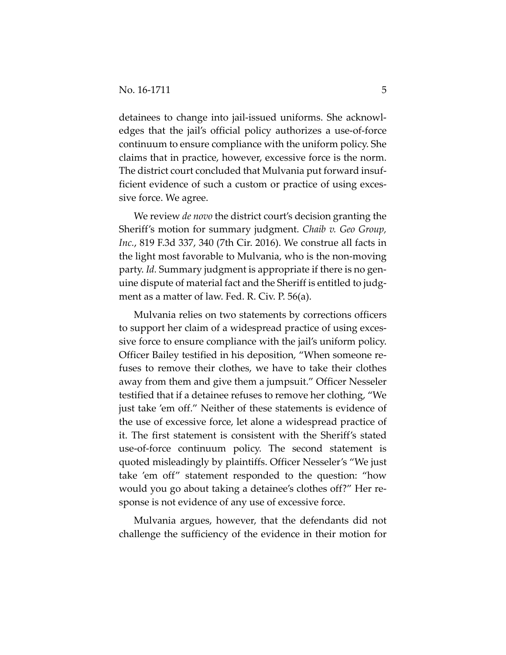detainees to change into jail‐issued uniforms. She acknowl‐ edges that the jail's official policy authorizes a use‐of‐force continuum to ensure compliance with the uniform policy. She claims that in practice, however, excessive force is the norm. The district court concluded that Mulvania put forward insuf‐ ficient evidence of such a custom or practice of using excessive force. We agree.

We review *de novo* the district court's decision granting the Sheriff's motion for summary judgment. *Chaib v. Geo Group, Inc.*, 819 F.3d 337, 340 (7th Cir. 2016). We construe all facts in the light most favorable to Mulvania, who is the non‐moving party. *Id.* Summary judgment is appropriate if there is no gen‐ uine dispute of material fact and the Sheriff is entitled to judg‐ ment as a matter of law. Fed. R. Civ. P. 56(a).

Mulvania relies on two statements by corrections officers to support her claim of a widespread practice of using exces‐ sive force to ensure compliance with the jail's uniform policy. Officer Bailey testified in his deposition, "When someone re‐ fuses to remove their clothes, we have to take their clothes away from them and give them a jumpsuit." Officer Nesseler testified that if a detainee refuses to remove her clothing, "We just take 'em off." Neither of these statements is evidence of the use of excessive force, let alone a widespread practice of it. The first statement is consistent with the Sheriff's stated use‐of‐force continuum policy. The second statement is quoted misleadingly by plaintiffs. Officer Nesseler's "We just take 'em off" statement responded to the question: "how would you go about taking a detainee's clothes off?" Her re‐ sponse is not evidence of any use of excessive force.

Mulvania argues, however, that the defendants did not challenge the sufficiency of the evidence in their motion for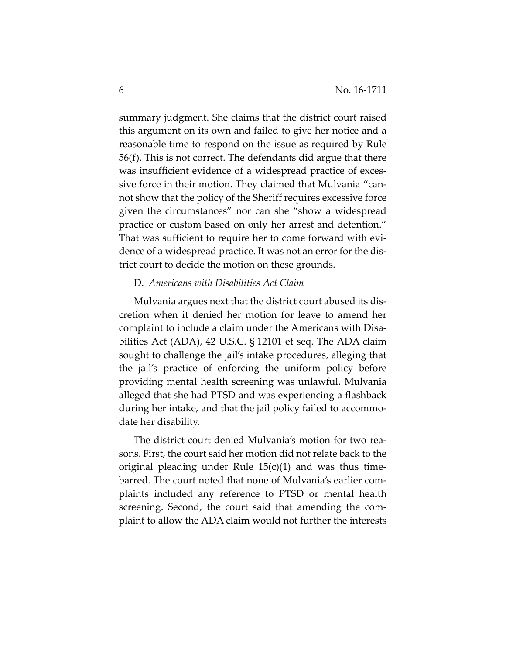summary judgment. She claims that the district court raised this argument on its own and failed to give her notice and a reasonable time to respond on the issue as required by Rule 56(f). This is not correct. The defendants did argue that there was insufficient evidence of a widespread practice of excessive force in their motion. They claimed that Mulvania "cannot show that the policy of the Sheriff requires excessive force given the circumstances" nor can she "show a widespread practice or custom based on only her arrest and detention." That was sufficient to require her to come forward with evi‐ dence of a widespread practice. It was not an error for the dis‐ trict court to decide the motion on these grounds.

# D. *Americans with Disabilities Act Claim*

Mulvania argues next that the district court abused its dis‐ cretion when it denied her motion for leave to amend her complaint to include a claim under the Americans with Disabilities Act (ADA), 42 U.S.C. § 12101 et seq. The ADA claim sought to challenge the jail's intake procedures, alleging that the jail's practice of enforcing the uniform policy before providing mental health screening was unlawful. Mulvania alleged that she had PTSD and was experiencing a flashback during her intake, and that the jail policy failed to accommo‐ date her disability.

The district court denied Mulvania's motion for two rea‐ sons. First, the court said her motion did not relate back to the original pleading under Rule  $15(c)(1)$  and was thus timebarred. The court noted that none of Mulvania's earlier com‐ plaints included any reference to PTSD or mental health screening. Second, the court said that amending the com‐ plaint to allow the ADA claim would not further the interests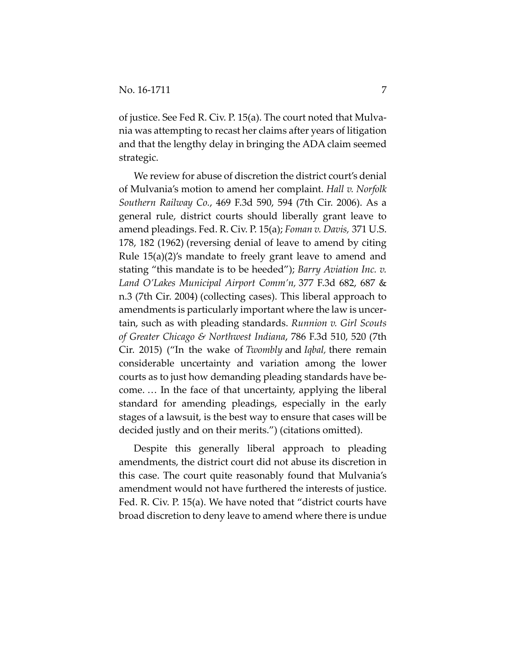of justice. See Fed R. Civ. P. 15(a). The court noted that Mulva‐ nia was attempting to recast her claims after years of litigation and that the lengthy delay in bringing the ADA claim seemed strategic.

We review for abuse of discretion the district court's denial of Mulvania's motion to amend her complaint. *Hall v. Norfolk Southern Railway Co.*, 469 F.3d 590, 594 (7th Cir. 2006). As a general rule, district courts should liberally grant leave to amend pleadings. Fed. R. Civ. P. 15(a); *Foman v. Davis,* 371 U.S. 178, 182 (1962) (reversing denial of leave to amend by citing Rule 15(a)(2)'s mandate to freely grant leave to amend and stating "this mandate is to be heeded"); *Barry Aviation Inc. v. Land O'Lakes Municipal Airport Comm'n,* 377 F.3d 682, 687 & n.3 (7th Cir. 2004) (collecting cases). This liberal approach to amendments is particularly important where the law is uncer‐ tain, such as with pleading standards. *Runnion v. Girl Scouts of Greater Chicago & Northwest Indiana*, 786 F.3d 510, 520 (7th Cir. 2015) ("In the wake of *Twombly* and *Iqbal,* there remain considerable uncertainty and variation among the lower courts as to just how demanding pleading standards have be‐ come. … In the face of that uncertainty, applying the liberal standard for amending pleadings, especially in the early stages of a lawsuit, is the best way to ensure that cases will be decided justly and on their merits.") (citations omitted).

Despite this generally liberal approach to pleading amendments, the district court did not abuse its discretion in this case. The court quite reasonably found that Mulvania's amendment would not have furthered the interests of justice. Fed. R. Civ. P. 15(a). We have noted that "district courts have broad discretion to deny leave to amend where there is undue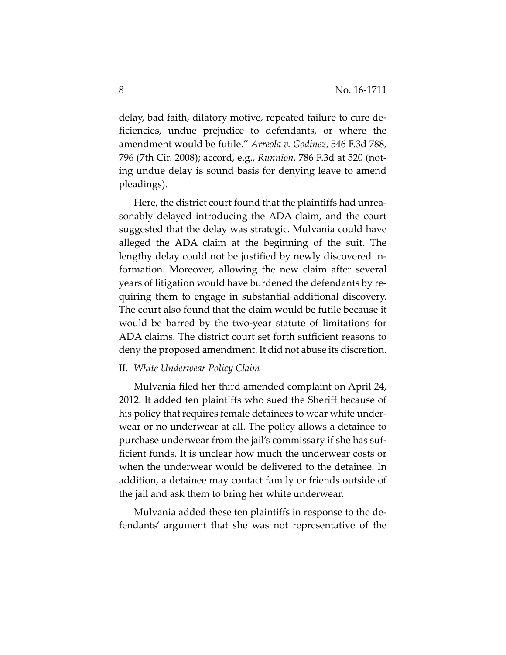delay, bad faith, dilatory motive, repeated failure to cure de‐ ficiencies, undue prejudice to defendants, or where the amendment would be futile." *Arreola v. Godinez*, 546 F.3d 788, 796 (7th Cir. 2008); accord, e.g., *Runnion*, 786 F.3d at 520 (not‐ ing undue delay is sound basis for denying leave to amend pleadings).

Here, the district court found that the plaintiffs had unrea‐ sonably delayed introducing the ADA claim, and the court suggested that the delay was strategic. Mulvania could have alleged the ADA claim at the beginning of the suit. The lengthy delay could not be justified by newly discovered in‐ formation. Moreover, allowing the new claim after several years of litigation would have burdened the defendants by re‐ quiring them to engage in substantial additional discovery. The court also found that the claim would be futile because it would be barred by the two‐year statute of limitations for ADA claims. The district court set forth sufficient reasons to deny the proposed amendment. It did not abuse its discretion.

#### II. *White Underwear Policy Claim*

Mulvania filed her third amended complaint on April 24, 2012. It added ten plaintiffs who sued the Sheriff because of his policy that requires female detainees to wear white under‐ wear or no underwear at all. The policy allows a detainee to purchase underwear from the jail's commissary if she has suf‐ ficient funds. It is unclear how much the underwear costs or when the underwear would be delivered to the detainee. In addition, a detainee may contact family or friends outside of the jail and ask them to bring her white underwear.

Mulvania added these ten plaintiffs in response to the de‐ fendants' argument that she was not representative of the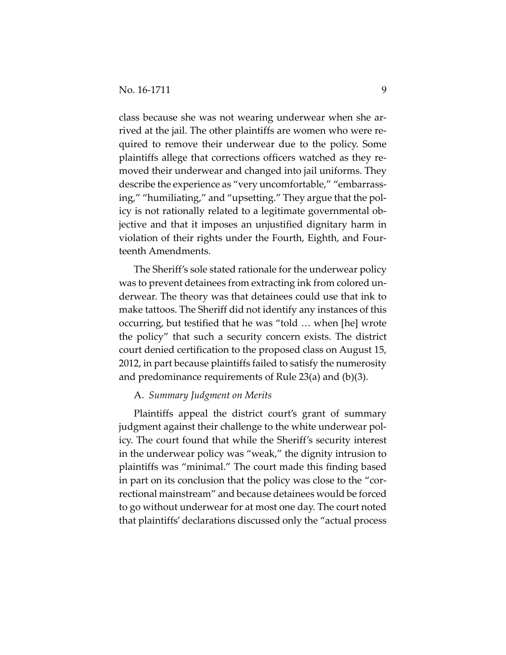class because she was not wearing underwear when she arrived at the jail. The other plaintiffs are women who were re‐ quired to remove their underwear due to the policy. Some plaintiffs allege that corrections officers watched as they re‐ moved their underwear and changed into jail uniforms. They describe the experience as "very uncomfortable," "embarrass‐ ing," "humiliating," and "upsetting." They argue that the pol‐ icy is not rationally related to a legitimate governmental ob‐ jective and that it imposes an unjustified dignitary harm in violation of their rights under the Fourth, Eighth, and Four‐ teenth Amendments.

The Sheriff's sole stated rationale for the underwear policy was to prevent detainees from extracting ink from colored un‐ derwear. The theory was that detainees could use that ink to make tattoos. The Sheriff did not identify any instances of this occurring, but testified that he was "told … when [he] wrote the policy" that such a security concern exists. The district court denied certification to the proposed class on August 15, 2012, in part because plaintiffs failed to satisfy the numerosity and predominance requirements of Rule 23(a) and (b)(3).

# A. *Summary Judgment on Merits*

Plaintiffs appeal the district court's grant of summary judgment against their challenge to the white underwear pol‐ icy. The court found that while the Sheriff's security interest in the underwear policy was "weak," the dignity intrusion to plaintiffs was "minimal." The court made this finding based in part on its conclusion that the policy was close to the "correctional mainstream" and because detainees would be forced to go without underwear for at most one day. The court noted that plaintiffs'declarations discussed only the "actual process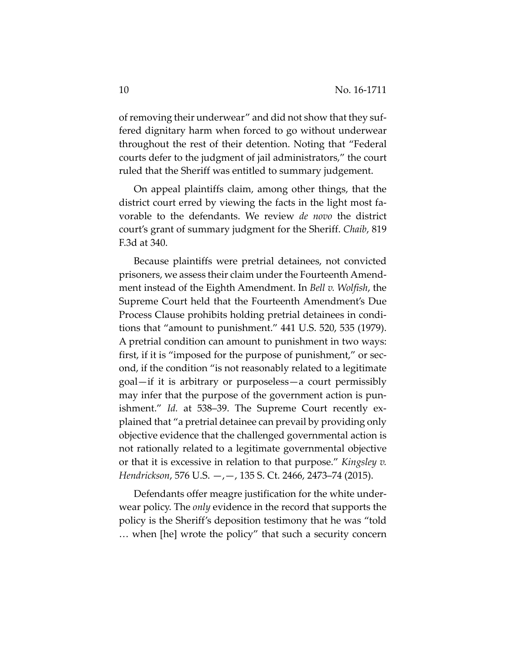of removing their underwear" and did not show that they suffered dignitary harm when forced to go without underwear throughout the rest of their detention. Noting that "Federal courts defer to the judgment of jail administrators," the court ruled that the Sheriff was entitled to summary judgement.

On appeal plaintiffs claim, among other things, that the district court erred by viewing the facts in the light most fa‐ vorable to the defendants. We review *de novo* the district court's grant of summary judgment for the Sheriff. *Chaib*, 819 F.3d at 340.

Because plaintiffs were pretrial detainees, not convicted prisoners, we assess their claim under the Fourteenth Amendment instead of the Eighth Amendment. In *Bell v. Wolfish*, the Supreme Court held that the Fourteenth Amendment's Due Process Clause prohibits holding pretrial detainees in condi‐ tions that "amount to punishment." 441 U.S. 520, 535 (1979). A pretrial condition can amount to punishment in two ways: first, if it is "imposed for the purpose of punishment," or second, if the condition "is not reasonably related to a legitimate goal—if it is arbitrary or purposeless—a court permissibly may infer that the purpose of the government action is punishment." *Id.* at 538–39. The Supreme Court recently explained that "a pretrial detainee can prevail by providing only objective evidence that the challenged governmental action is not rationally related to a legitimate governmental objective or that it is excessive in relation to that purpose." *Kingsley v. Hendrickson*, 576 U.S. —,—, 135 S. Ct. 2466, 2473–74 (2015).

Defendants offer meagre justification for the white under‐ wear policy. The *only* evidence in the record that supports the policy is the Sheriff's deposition testimony that he was "told … when [he] wrote the policy" that such a security concern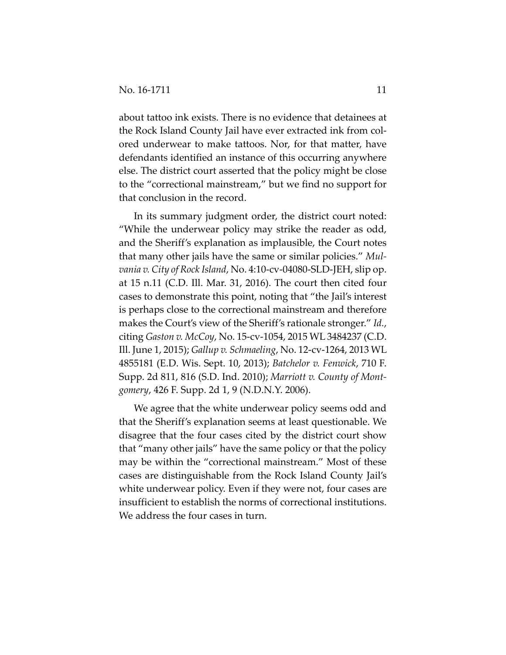about tattoo ink exists. There is no evidence that detainees at the Rock Island County Jail have ever extracted ink from col‐ ored underwear to make tattoos. Nor, for that matter, have defendants identified an instance of this occurring anywhere else. The district court asserted that the policy might be close to the "correctional mainstream," but we find no support for that conclusion in the record.

In its summary judgment order, the district court noted: "While the underwear policy may strike the reader as odd, and the Sheriff's explanation as implausible, the Court notes that many other jails have the same or similar policies." *Mul‐ vania v. City of Rock Island*, No. 4:10‐cv‐04080‐SLD‐JEH, slip op. at 15 n.11 (C.D. Ill. Mar. 31, 2016). The court then cited four cases to demonstrate this point, noting that "the Jail's interest is perhaps close to the correctional mainstream and therefore makes the Court's view of the Sheriff's rationale stronger." *Id.*, citing *Gaston v. McCoy*, No. 15‐cv‐1054, 2015 WL 3484237 (C.D. Ill. June 1, 2015); *Gallup v. Schmaeling*, No. 12‐cv‐1264, 2013 WL 4855181 (E.D. Wis. Sept. 10, 2013); *Batchelor v. Fenwick*, 710 F. Supp. 2d 811, 816 (S.D. Ind. 2010); *Marriott v. County of Mont‐ gomery*, 426 F. Supp. 2d 1, 9 (N.D.N.Y. 2006).

We agree that the white underwear policy seems odd and that the Sheriff's explanation seems at least questionable. We disagree that the four cases cited by the district court show that "many other jails" have the same policy or that the policy may be within the "correctional mainstream." Most of these cases are distinguishable from the Rock Island County Jail's white underwear policy. Even if they were not, four cases are insufficient to establish the norms of correctional institutions. We address the four cases in turn.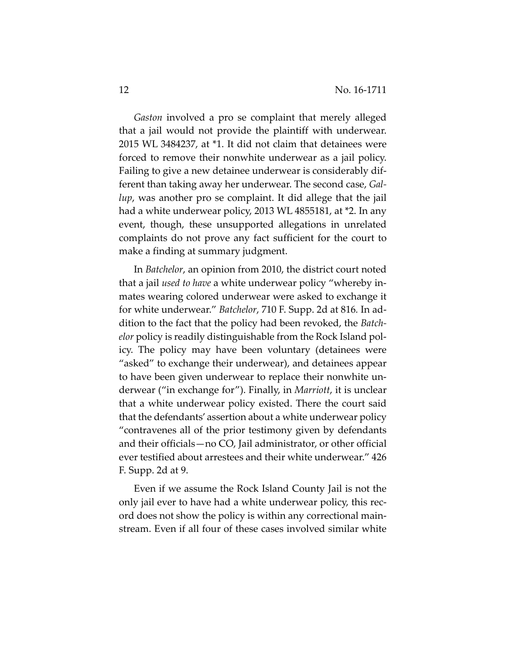*Gaston* involved a pro se complaint that merely alleged that a jail would not provide the plaintiff with underwear. 2015 WL 3484237, at \*1. It did not claim that detainees were forced to remove their nonwhite underwear as a jail policy. Failing to give a new detainee underwear is considerably dif‐ ferent than taking away her underwear. The second case, *Gal‐ lup*, was another pro se complaint. It did allege that the jail had a white underwear policy, 2013 WL 4855181, at \*2. In any event, though, these unsupported allegations in unrelated complaints do not prove any fact sufficient for the court to make a finding at summary judgment.

In *Batchelor*, an opinion from 2010, the district court noted that a jail *used to have* a white underwear policy "whereby in‐ mates wearing colored underwear were asked to exchange it for white underwear." *Batchelor*, 710 F. Supp. 2d at 816*.* In ad‐ dition to the fact that the policy had been revoked, the *Batch‐ elor* policy is readily distinguishable from the Rock Island pol‐ icy. The policy may have been voluntary (detainees were "asked" to exchange their underwear), and detainees appear to have been given underwear to replace their nonwhite un‐ derwear ("in exchange for"). Finally, in *Marriott*, it is unclear that a white underwear policy existed. There the court said that the defendants' assertion about a white underwear policy "contravenes all of the prior testimony given by defendants and their officials—no CO, Jail administrator, or other official ever testified about arrestees and their white underwear." 426 F. Supp. 2d at 9.

Even if we assume the Rock Island County Jail is not the only jail ever to have had a white underwear policy, this rec‐ ord does not show the policy is within any correctional main‐ stream. Even if all four of these cases involved similar white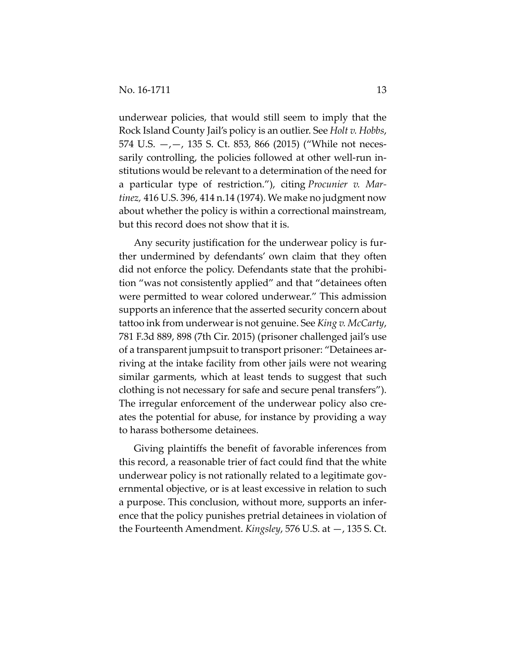underwear policies, that would still seem to imply that the Rock Island County Jail's policy is an outlier. See *Holt v. Hobbs*, 574 U.S.  $-,-$ , 135 S. Ct. 853, 866 (2015) ("While not necessarily controlling, the policies followed at other well-run institutions would be relevant to a determination of the need for a particular type of restriction."), citing *Procunier v. Mar‐ tinez,* 416 U.S. 396, 414 n.14 (1974). We make no judgment now about whether the policy is within a correctional mainstream, but this record does not show that it is.

Any security justification for the underwear policy is fur‐ ther undermined by defendants' own claim that they often did not enforce the policy. Defendants state that the prohibi‐ tion "was not consistently applied" and that "detainees often were permitted to wear colored underwear." This admission supports an inference that the asserted security concern about tattoo ink from underwearis not genuine. See *King v. McCarty*, 781 F.3d 889, 898 (7th Cir. 2015) (prisoner challenged jail's use of a transparent jumpsuit to transport prisoner: "Detainees ar‐ riving at the intake facility from other jails were not wearing similar garments, which at least tends to suggest that such clothing is not necessary for safe and secure penal transfers"). The irregular enforcement of the underwear policy also creates the potential for abuse, for instance by providing a way to harass bothersome detainees.

Giving plaintiffs the benefit of favorable inferences from this record, a reasonable trier of fact could find that the white underwear policy is not rationally related to a legitimate gov‐ ernmental objective, or is at least excessive in relation to such a purpose. This conclusion, without more, supports an infer‐ ence that the policy punishes pretrial detainees in violation of the Fourteenth Amendment. *Kingsley*, 576 U.S. at —, 135 S. Ct.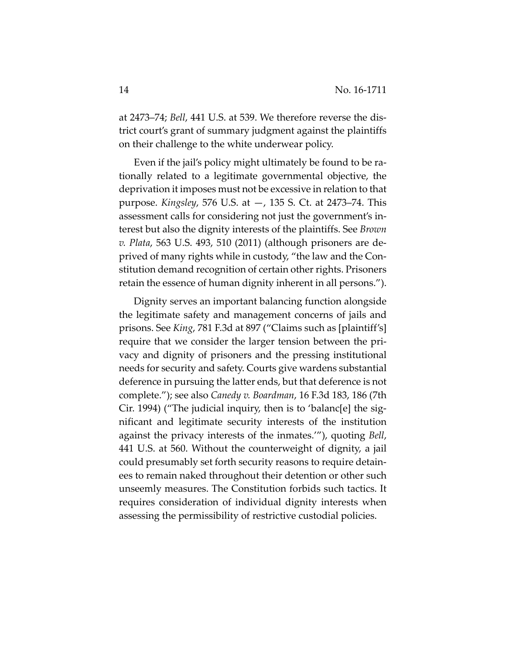at 2473–74; *Bell*, 441 U.S. at 539. We therefore reverse the dis‐ trict court's grant of summary judgment against the plaintiffs on their challenge to the white underwear policy.

Even if the jail's policy might ultimately be found to be ra‐ tionally related to a legitimate governmental objective, the deprivation it imposes must not be excessive in relation to that purpose. *Kingsley*, 576 U.S. at —, 135 S. Ct. at 2473–74. This assessment calls for considering not just the government's in‐ terest but also the dignity interests of the plaintiffs. See *Brown v. Plata*, 563 U.S. 493, 510 (2011) (although prisoners are de‐ prived of many rights while in custody, "the law and the Con‐ stitution demand recognition of certain other rights. Prisoners retain the essence of human dignity inherent in all persons.").

Dignity serves an important balancing function alongside the legitimate safety and management concerns of jails and prisons. See *King*, 781 F.3d at 897 ("Claims such as [plaintiff's] require that we consider the larger tension between the pri‐ vacy and dignity of prisoners and the pressing institutional needs for security and safety. Courts give wardens substantial deference in pursuing the latter ends, but that deference is not complete."); see also *Canedy v. Boardman*, 16 F.3d 183, 186 (7th Cir. 1994) ("The judicial inquiry, then is to 'balanc[e] the sig‐ nificant and legitimate security interests of the institution against the privacy interests of the inmates.'"), quoting *Bell*, 441 U.S. at 560. Without the counterweight of dignity, a jail could presumably set forth security reasons to require detain‐ ees to remain naked throughout their detention or other such unseemly measures. The Constitution forbids such tactics. It requires consideration of individual dignity interests when assessing the permissibility of restrictive custodial policies.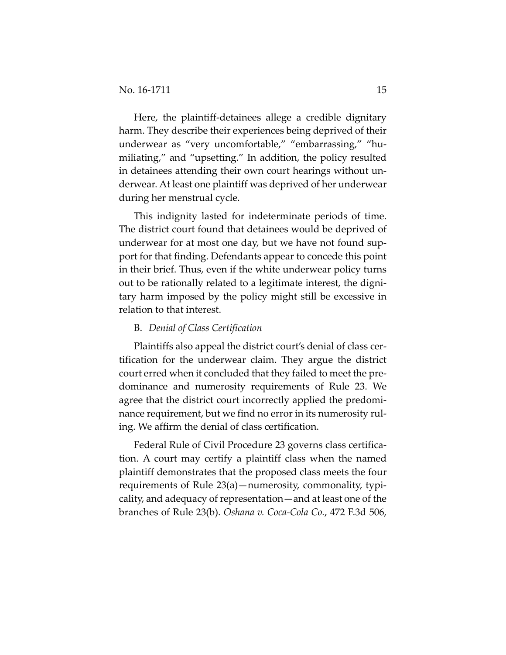Here, the plaintiff-detainees allege a credible dignitary harm. They describe their experiences being deprived of their underwear as "very uncomfortable," "embarrassing," "hu‐ miliating," and "upsetting." In addition, the policy resulted in detainees attending their own court hearings without un‐ derwear. At least one plaintiff was deprived of her underwear during her menstrual cycle.

This indignity lasted for indeterminate periods of time. The district court found that detainees would be deprived of underwear for at most one day, but we have not found sup‐ port for that finding. Defendants appear to concede this point in their brief. Thus, even if the white underwear policy turns out to be rationally related to a legitimate interest, the digni‐ tary harm imposed by the policy might still be excessive in relation to that interest.

#### B. *Denial of Class Certification*

Plaintiffs also appeal the district court's denial of class cer‐ tification for the underwear claim. They argue the district court erred when it concluded that they failed to meet the pre‐ dominance and numerosity requirements of Rule 23. We agree that the district court incorrectly applied the predomi‐ nance requirement, but we find no error in its numerosity ruling. We affirm the denial of class certification.

Federal Rule of Civil Procedure 23 governs class certification. A court may certify a plaintiff class when the named plaintiff demonstrates that the proposed class meets the four requirements of Rule 23(a)—numerosity, commonality, typi‐ cality, and adequacy of representation—and at least one of the branches of Rule 23(b). *Oshana v. Coca‐Cola Co.*, 472 F.3d 506,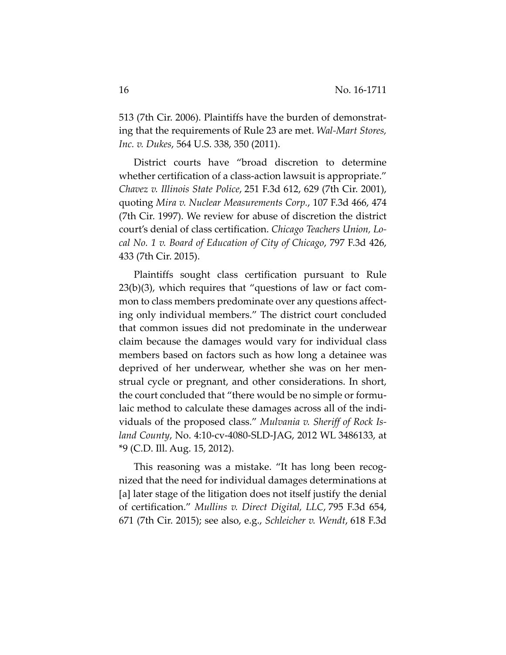513 (7th Cir. 2006). Plaintiffs have the burden of demonstrat‐ ing that the requirements of Rule 23 are met. *Wal‐Mart Stores, Inc. v. Dukes*, 564 U.S. 338, 350 (2011).

District courts have "broad discretion to determine whether certification of a class-action lawsuit is appropriate." *Chavez v. Illinois State Police*, 251 F.3d 612, 629 (7th Cir. 2001), quoting *Mira v. Nuclear Measurements Corp.*, 107 F.3d 466, 474 (7th Cir. 1997). We review for abuse of discretion the district court's denial of class certification. *Chicago Teachers Union, Lo‐ cal No. 1 v. Board of Education of City of Chicago*, 797 F.3d 426, 433 (7th Cir. 2015).

Plaintiffs sought class certification pursuant to Rule  $23(b)(3)$ , which requires that "questions of law or fact common to class members predominate over any questions affecting only individual members." The district court concluded that common issues did not predominate in the underwear claim because the damages would vary for individual class members based on factors such as how long a detainee was deprived of her underwear, whether she was on her men‐ strual cycle or pregnant, and other considerations. In short, the court concluded that "there would be no simple or formu‐ laic method to calculate these damages across all of the indi‐ viduals of the proposed class." *Mulvania v. Sheriff of Rock Is‐ land County*, No. 4:10‐cv‐4080‐SLD‐JAG, 2012 WL 3486133, at \*9 (C.D. Ill. Aug. 15, 2012).

This reasoning was a mistake. "It has long been recog‐ nized that the need for individual damages determinations at [a] later stage of the litigation does not itself justify the denial of certification." *Mullins v. Direct Digital, LLC*, 795 F.3d 654, 671 (7th Cir. 2015); see also, e.g., *Schleicher v. Wendt*, 618 F.3d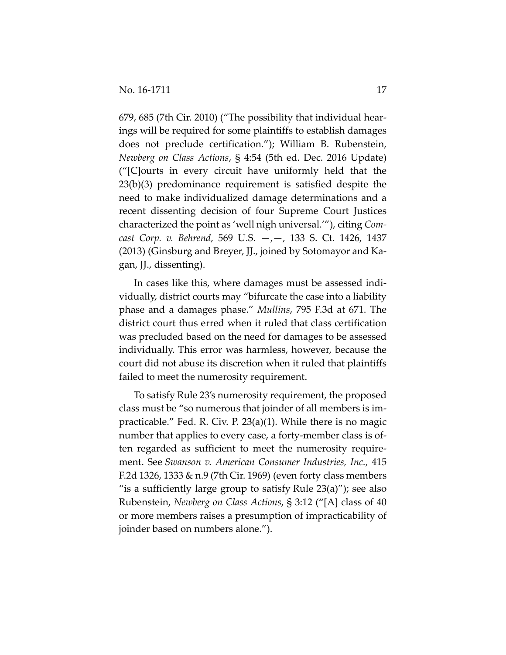679, 685 (7th Cir. 2010) ("The possibility that individual hear‐ ings will be required for some plaintiffs to establish damages does not preclude certification."); William B. Rubenstein, *Newberg on Class Actions*, § 4:54 (5th ed. Dec. 2016 Update) ("[C]ourts in every circuit have uniformly held that the 23(b)(3) predominance requirement is satisfied despite the need to make individualized damage determinations and a recent dissenting decision of four Supreme Court Justices characterized the point as 'well nigh universal.'"), citing *Com‐ cast Corp. v. Behrend*, 569 U.S. —,—, 133 S. Ct. 1426, 1437 (2013) (Ginsburg and Breyer, JJ., joined by Sotomayor and Ka‐ gan, JJ., dissenting).

In cases like this, where damages must be assessed indi‐ vidually, district courts may "bifurcate the case into a liability phase and a damages phase." *Mullins*, 795 F.3d at 671. The district court thus erred when it ruled that class certification was precluded based on the need for damages to be assessed individually. This error was harmless, however, because the court did not abuse its discretion when it ruled that plaintiffs failed to meet the numerosity requirement.

To satisfy Rule 23's numerosity requirement, the proposed class must be "so numerous that joinder of all members is im‐ practicable." Fed. R. Civ. P. 23(a)(1). While there is no magic number that applies to every case, a forty-member class is often regarded as sufficient to meet the numerosity require‐ ment. See *Swanson v. American Consumer Industries, Inc.*, 415 F.2d 1326, 1333 & n.9 (7th Cir. 1969) (even forty class members "is a sufficiently large group to satisfy Rule  $23(a)$ "); see also Rubenstein, *Newberg on Class Actions*, § 3:12 ("[A] class of 40 or more members raises a presumption of impracticability of joinder based on numbers alone.").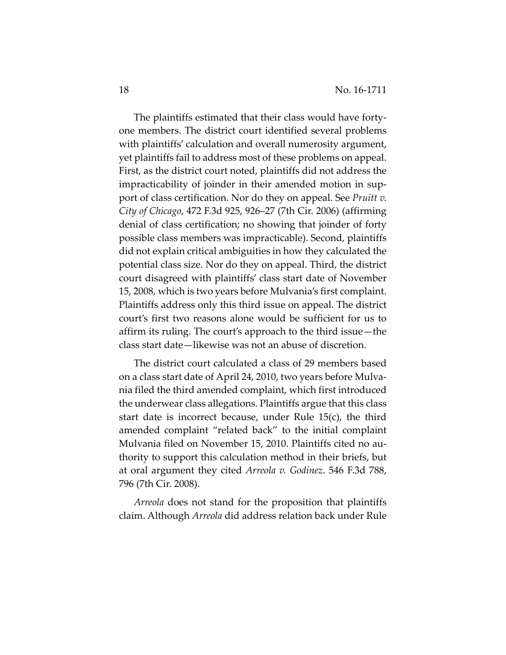The plaintiffs estimated that their class would have forty‐ one members. The district court identified several problems with plaintiffs' calculation and overall numerosity argument, yet plaintiffs fail to address most of these problems on appeal. First, as the district court noted, plaintiffs did not address the impracticability of joinder in their amended motion in support of class certification. Nor do they on appeal. See *Pruitt v. City of Chicago*, 472 F.3d 925, 926–27 (7th Cir. 2006) (affirming denial of class certification; no showing that joinder of forty possible class members was impracticable). Second, plaintiffs did not explain critical ambiguities in how they calculated the potential class size. Nor do they on appeal. Third, the district court disagreed with plaintiffs' class start date of November 15, 2008, which is two years before Mulvania's first complaint. Plaintiffs address only this third issue on appeal. The district court's first two reasons alone would be sufficient for us to affirm its ruling. The court's approach to the third issue—the class start date—likewise was not an abuse of discretion.

The district court calculated a class of 29 members based on a class start date of April 24, 2010, two years before Mulva‐ nia filed the third amended complaint, which first introduced the underwear class allegations. Plaintiffs argue that this class start date is incorrect because, under Rule 15(c), the third amended complaint "related back" to the initial complaint Mulvania filed on November 15, 2010. Plaintiffs cited no au‐ thority to support this calculation method in their briefs, but at oral argument they cited *Arreola v. Godinez*. 546 F.3d 788, 796 (7th Cir. 2008).

*Arreola* does not stand for the proposition that plaintiffs claim. Although *Arreola* did address relation back under Rule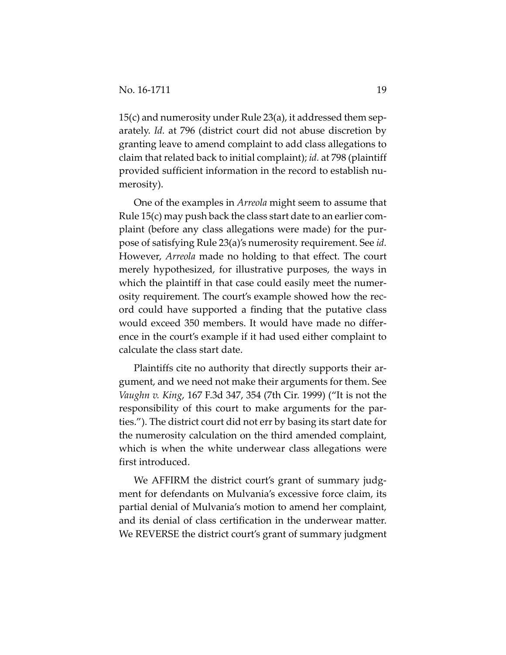15(c) and numerosity under Rule 23(a), it addressed them sep‐ arately. *Id.* at 796 (district court did not abuse discretion by granting leave to amend complaint to add class allegations to claim that related back to initial complaint); *id.* at 798 (plaintiff provided sufficient information in the record to establish nu‐ merosity).

One of the examples in *Arreola* might seem to assume that Rule 15(c) may push back the class start date to an earlier com‐ plaint (before any class allegations were made) for the pur‐ pose of satisfying Rule 23(a)'s numerosity requirement. See *id.* However, *Arreola* made no holding to that effect. The court merely hypothesized, for illustrative purposes, the ways in which the plaintiff in that case could easily meet the numerosity requirement. The court's example showed how the rec‐ ord could have supported a finding that the putative class would exceed 350 members. It would have made no differ‐ ence in the court's example if it had used either complaint to calculate the class start date.

Plaintiffs cite no authority that directly supports their ar‐ gument, and we need not make their arguments for them. See *Vaughn v. King*, 167 F.3d 347, 354 (7th Cir. 1999) ("It is not the responsibility of this court to make arguments for the parties."). The district court did not err by basing its start date for the numerosity calculation on the third amended complaint, which is when the white underwear class allegations were first introduced.

We AFFIRM the district court's grant of summary judgment for defendants on Mulvania's excessive force claim, its partial denial of Mulvania's motion to amend her complaint, and its denial of class certification in the underwear matter. We REVERSE the district court's grant of summary judgment